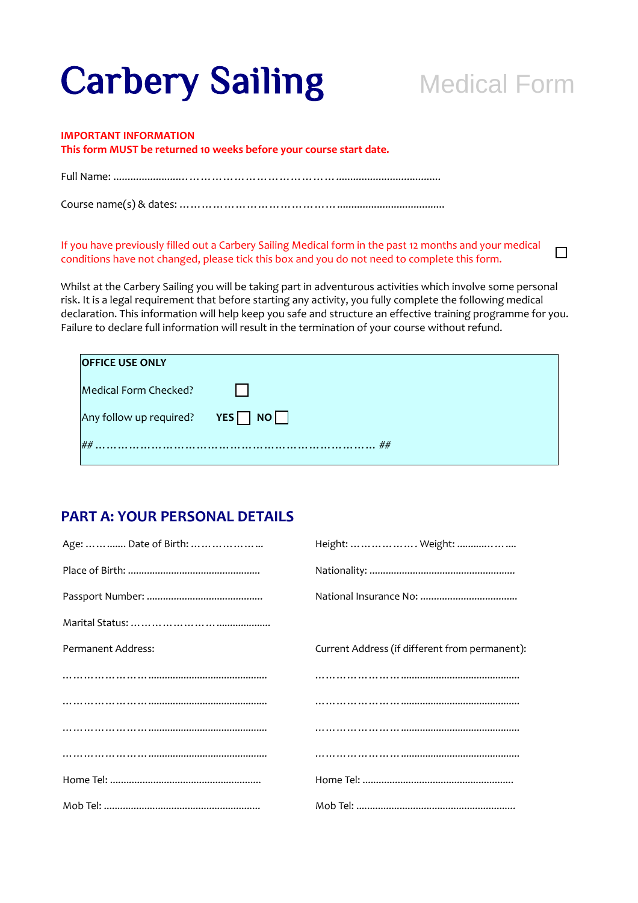# **Carbery Sailing Medical Form**

 $\Box$ 

#### **IMPORTANT INFORMATION**

**This form MUST be returned 10 weeks before your course start date.** 

Full Name: .......................…………………………………….....................................

Course name(s) & dates: ……………………………………......................................

#### If you have previously filled out a Carbery Sailing Medical form in the past 12 months and your medical conditions have not changed, please tick this box and you do not need to complete this form.

Whilst at the Carbery Sailing you will be taking part in adventurous activities which involve some personal risk. It is a legal requirement that before starting any activity, you fully complete the following medical declaration. This information will help keep you safe and structure an effective training programme for you. Failure to declare full information will result in the termination of your course without refund.

| <b>OFFICE USE ONLY</b>                     |  |
|--------------------------------------------|--|
| Medical Form Checked?                      |  |
| Any follow up required? $YES \n\bigcap NO$ |  |
| ##                                         |  |
|                                            |  |

#### **PART A: YOUR PERSONAL DETAILS**

| Height:      Weight:                           |
|------------------------------------------------|
|                                                |
|                                                |
|                                                |
| Current Address (if different from permanent): |
|                                                |
|                                                |
|                                                |
|                                                |
|                                                |
|                                                |
|                                                |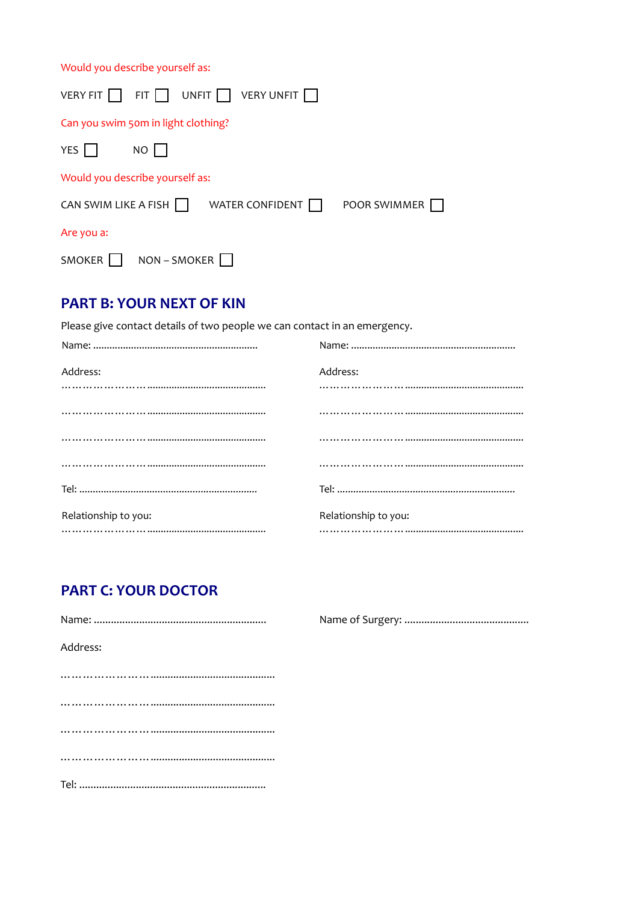Would you describe yourself as:

| VERY FIT $\Box$                     |              | FIT $\Box$ UNFIT $\Box$ VERY UNFIT $\Box$ |              |
|-------------------------------------|--------------|-------------------------------------------|--------------|
| Can you swim 50m in light clothing? |              |                                           |              |
| YES                                 | NO           |                                           |              |
| Would you describe yourself as:     |              |                                           |              |
| CAN SWIM LIKE A FISH                |              | WATER CONFIDENT                           | POOR SWIMMER |
| Are you a:                          |              |                                           |              |
| SMOKER                              | NON - SMOKER |                                           |              |

## **PART B: YOUR NEXT OF KIN**

Please give contact details of two people we can contact in an emergency.

| Address:             | Address:             |
|----------------------|----------------------|
|                      |                      |
|                      |                      |
|                      |                      |
|                      |                      |
|                      |                      |
| Relationship to you: | Relationship to you: |
|                      |                      |

## **PART C: YOUR DOCTOR**

| Address: |
|----------|
|          |
|          |
|          |
|          |
|          |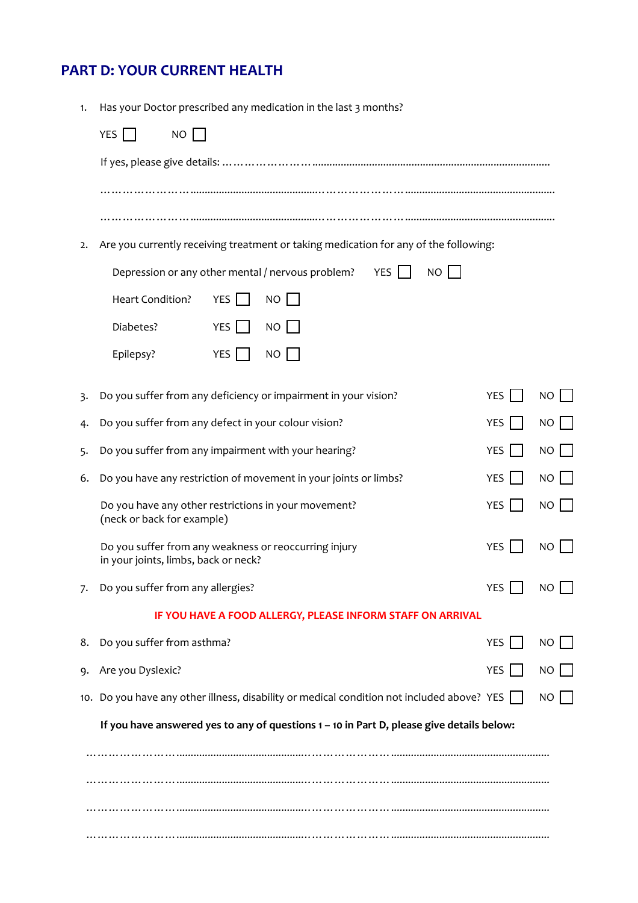# **PART D: YOUR CURRENT HEALTH**

| 1. | Has your Doctor prescribed any medication in the last 3 months?                               |            |             |
|----|-----------------------------------------------------------------------------------------------|------------|-------------|
|    | YES $\Box$<br>NO                                                                              |            |             |
|    |                                                                                               |            |             |
|    |                                                                                               |            |             |
|    |                                                                                               |            |             |
| 2. | Are you currently receiving treatment or taking medication for any of the following:          |            |             |
|    | Depression or any other mental / nervous problem?<br>YES  <br><b>NO</b>                       |            |             |
|    | Heart Condition?<br><b>YES</b><br>NO                                                          |            |             |
|    | <b>YES</b><br>Diabetes?<br>NO                                                                 |            |             |
|    | YES  <br>NO<br>Epilepsy?                                                                      |            |             |
| 3. | Do you suffer from any deficiency or impairment in your vision?                               | <b>YES</b> | NO          |
| 4. | Do you suffer from any defect in your colour vision?                                          | YES        | <b>NO</b>   |
| 5. | Do you suffer from any impairment with your hearing?                                          | <b>YES</b> | <b>NO</b>   |
| 6. | Do you have any restriction of movement in your joints or limbs?                              | <b>YES</b> | <b>NO</b>   |
|    | Do you have any other restrictions in your movement?<br>(neck or back for example)            | <b>YES</b> | <b>NO</b>   |
|    | Do you suffer from any weakness or reoccurring injury<br>in your joints, limbs, back or neck? | YES        | NO          |
| 7. | Do you suffer from any allergies?                                                             | <b>YES</b> | NO          |
|    | IF YOU HAVE A FOOD ALLERGY, PLEASE INFORM STAFF ON ARRIVAL                                    |            |             |
| 8. | Do you suffer from asthma?                                                                    | YES I      | $NO$ $\Box$ |
| 9. | Are you Dyslexic?                                                                             | YES        | $NO$        |
|    | 10. Do you have any other illness, disability or medical condition not included above? YES    |            | NO          |
|    | If you have answered yes to any of questions 1 - 10 in Part D, please give details below:     |            |             |
|    |                                                                                               |            |             |
|    |                                                                                               |            |             |
|    |                                                                                               |            |             |
|    |                                                                                               |            |             |